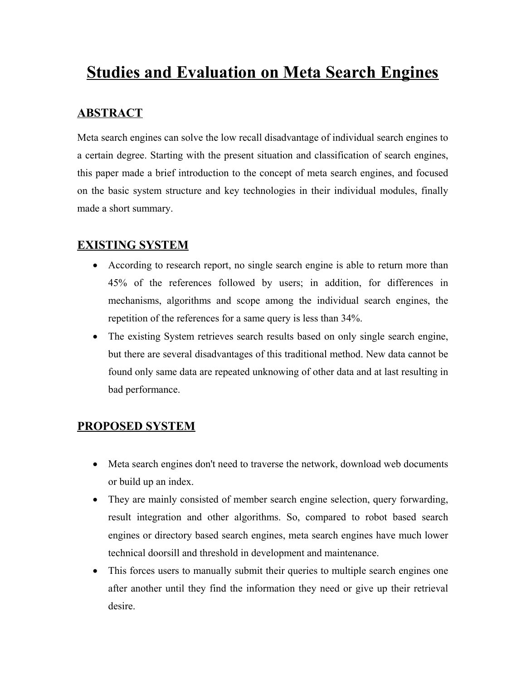# **Studies and Evaluation on Meta Search Engines**

# **ABSTRACT**

Meta search engines can solve the low recall disadvantage of individual search engines to a certain degree. Starting with the present situation and classification of search engines, this paper made a brief introduction to the concept of meta search engines, and focused on the basic system structure and key technologies in their individual modules, finally made a short summary.

## **EXISTING SYSTEM**

- According to research report, no single search engine is able to return more than 45% of the references followed by users; in addition, for differences in mechanisms, algorithms and scope among the individual search engines, the repetition of the references for a same query is less than 34%.
- The existing System retrieves search results based on only single search engine, but there are several disadvantages of this traditional method. New data cannot be found only same data are repeated unknowing of other data and at last resulting in bad performance.

## **PROPOSED SYSTEM**

- Meta search engines don't need to traverse the network, download web documents or build up an index.
- They are mainly consisted of member search engine selection, query forwarding, result integration and other algorithms. So, compared to robot based search engines or directory based search engines, meta search engines have much lower technical doorsill and threshold in development and maintenance.
- · This forces users to manually submit their queries to multiple search engines one after another until they find the information they need or give up their retrieval desire.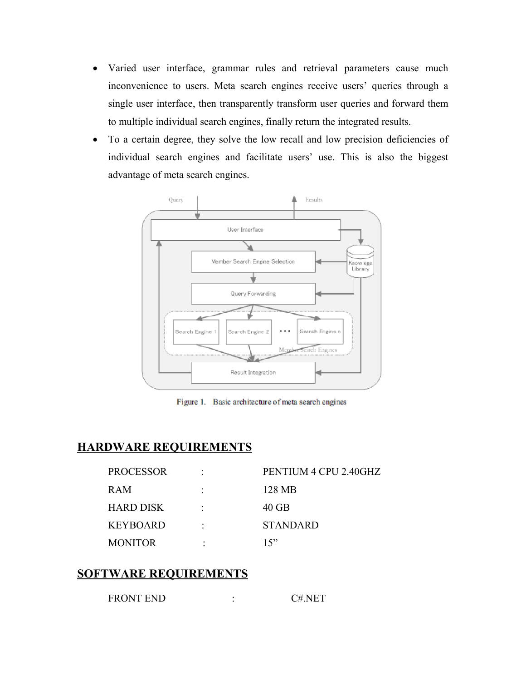- · Varied user interface, grammar rules and retrieval parameters cause much inconvenience to users. Meta search engines receive users' queries through a single user interface, then transparently transform user queries and forward them to multiple individual search engines, finally return the integrated results.
- · To a certain degree, they solve the low recall and low precision deficiencies of individual search engines and facilitate users' use. This is also the biggest advantage of meta search engines.



Figure 1. Basic architecture of meta search engines

## **HARDWARE REQUIREMENTS**

| <b>PROCESSOR</b> |   | PENTIUM 4 CPU 2.40GHZ |
|------------------|---|-----------------------|
| <b>RAM</b>       |   | 128 MB                |
| <b>HARD DISK</b> |   | 40 GB                 |
| <b>KEYBOARD</b>  |   | <b>STANDARD</b>       |
| <b>MONITOR</b>   | ٠ | 15"                   |

## **SOFTWARE REQUIREMENTS**

FRONT END : C#.NET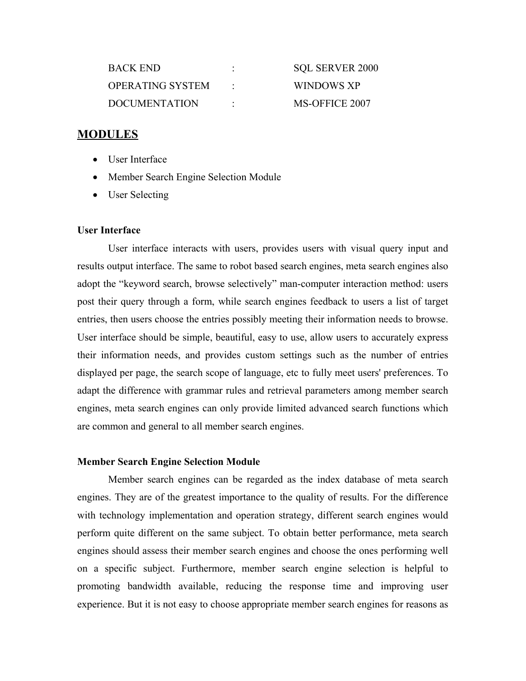| BACK END             | <b>SQL SERVER 2000</b> |
|----------------------|------------------------|
| OPERATING SYSTEM     | WINDOWS XP             |
| <b>DOCUMENTATION</b> | MS-OFFICE 2007         |

### **MODULES**

- · User Interface
- Member Search Engine Selection Module
- User Selecting

#### **User Interface**

User interface interacts with users, provides users with visual query input and results output interface. The same to robot based search engines, meta search engines also adopt the "keyword search, browse selectively" man-computer interaction method: users post their query through a form, while search engines feedback to users a list of target entries, then users choose the entries possibly meeting their information needs to browse. User interface should be simple, beautiful, easy to use, allow users to accurately express their information needs, and provides custom settings such as the number of entries displayed per page, the search scope of language, etc to fully meet users' preferences. To adapt the difference with grammar rules and retrieval parameters among member search engines, meta search engines can only provide limited advanced search functions which are common and general to all member search engines.

#### **Member Search Engine Selection Module**

Member search engines can be regarded as the index database of meta search engines. They are of the greatest importance to the quality of results. For the difference with technology implementation and operation strategy, different search engines would perform quite different on the same subject. To obtain better performance, meta search engines should assess their member search engines and choose the ones performing well on a specific subject. Furthermore, member search engine selection is helpful to promoting bandwidth available, reducing the response time and improving user experience. But it is not easy to choose appropriate member search engines for reasons as